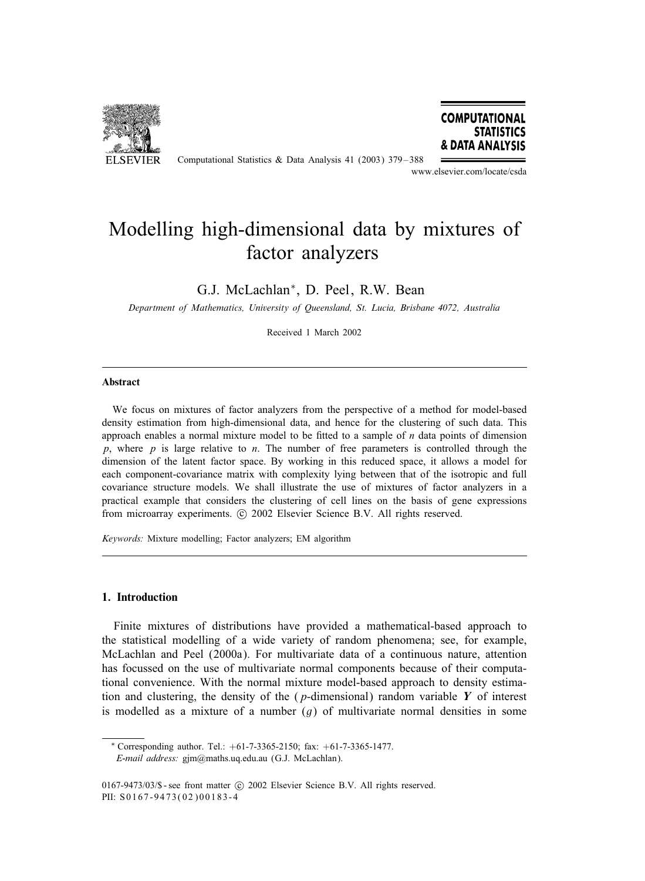

Computational Statistics & Data Analysis 41 (2003) 379 – 388



www.elsevier.com/locate/csda

# Modelling high-dimensional data by mixtures of factor analyzers

G.J. McLachlan∗, D. Peel, R.W. Bean

*Department of Mathematics, University of Queensland, St. Lucia, Brisbane 4072, Australia*

Received 1 March 2002

#### Abstract

We focus on mixtures of factor analyzers from the perspective of a method for model-based density estimation from high-dimensional data, and hence for the clustering of such data. This approach enables a normal mixture model to be fitted to a sample of  $n$  data points of dimension p, where  $p$  is large relative to n. The number of free parameters is controlled through the dimension of the latent factor space. By working in this reduced space, it allows a model for each component-covariance matrix with complexity lying between that of the isotropic and full covariance structure models. We shall illustrate the use of mixtures of factor analyzers in a practical example that considers the clustering of cell lines on the basis of gene expressions from microarray experiments. (c) 2002 Elsevier Science B.V. All rights reserved.

*Keywords:* Mixture modelling; Factor analyzers; EM algorithm

## 1. Introduction

Finite mixtures of distributions have provided a mathematical-based approach to the statistical modelling of a wide variety of random phenomena; see, for example, McLachlan and Peel (2000a). For multivariate data of a continuous nature, attention has focussed on the use of multivariate normal components because of their computational convenience. With the normal mixture model-based approach to density estimation and clustering, the density of the (p-dimensional) random variable *Y* of interest is modelled as a mixture of a number  $(g)$  of multivariate normal densities in some

 $*$  Corresponding author. Tel.:  $+61-7-3365-2150$ ; fax:  $+61-7-3365-1477$ . *E-mail address:* gjm@maths.uq.edu.au (G.J. McLachlan).

 $0167-9473/03$ /\$ - see front matter  $\odot$  2002 Elsevier Science B.V. All rights reserved. PII: S0167-9473(02)00183-4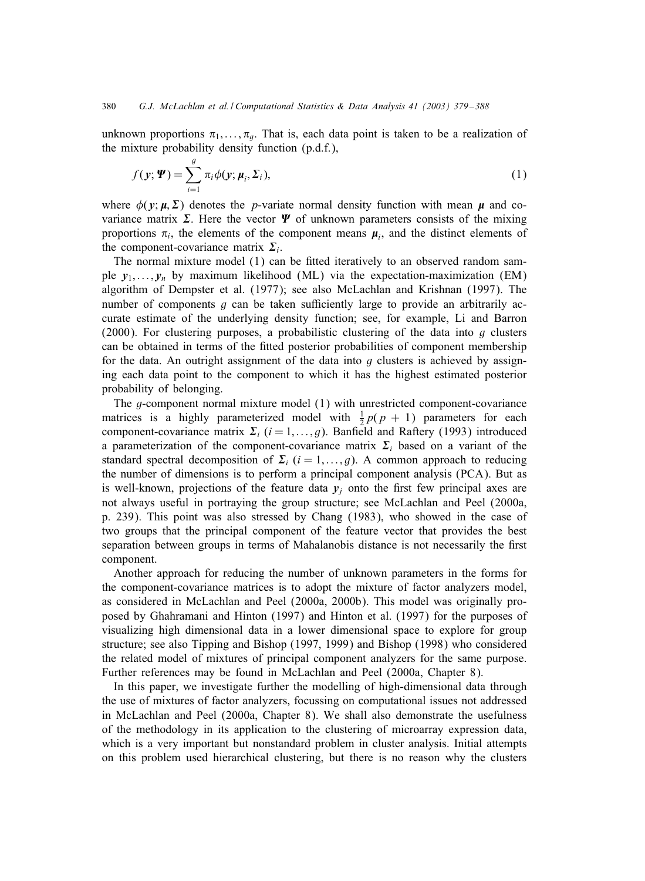unknown proportions  $\pi_1, \ldots, \pi_q$ . That is, each data point is taken to be a realization of the mixture probability density function (p.d.f.),

$$
f(\mathbf{y}; \boldsymbol{\Psi}) = \sum_{i=1}^{g} \pi_i \phi(\mathbf{y}; \boldsymbol{\mu}_i, \boldsymbol{\Sigma}_i),
$$
 (1)

where  $\phi(\mathbf{y}; \mu, \Sigma)$  denotes the *p*-variate normal density function with mean  $\mu$  and covariance matrix  $\Sigma$ . Here the vector  $\Psi$  of unknown parameters consists of the mixing proportions  $\pi_i$ , the elements of the component means  $\mu_i$ , and the distinct elements of the component-covariance matrix  $\Sigma_i$ .

The normal mixture model  $(1)$  can be fitted iteratively to an observed random sample  $y_1, \ldots, y_n$  by maximum likelihood (ML) via the expectation-maximization (EM) algorithm of Dempster et al. (1977); see also McLachlan and Krishnan (1997). The number of components  $g$  can be taken sufficiently large to provide an arbitrarily accurate estimate of the underlying density function; see, for example, Li and Barron (2000). For clustering purposes, a probabilistic clustering of the data into q clusters can be obtained in terms of the fitted posterior probabilities of component membership for the data. An outright assignment of the data into q clusters is achieved by assigning each data point to the component to which it has the highest estimated posterior probability of belonging.

The g-component normal mixture model (1) with unrestricted component-covariance matrices is a highly parameterized model with  $\frac{1}{2}p(p + 1)$  parameters for each component-covariance matrix  $\Sigma_i$  (i = 1, ..., g). Banfield and Raftery (1993) introduced a parameterization of the component-covariance matrix  $\Sigma_i$  based on a variant of the standard spectral decomposition of  $\Sigma_i$  (i = 1,..., g). A common approach to reducing the number of dimensions is to perform a principal component analysis (PCA). But as is well-known, projections of the feature data  $y_j$  onto the first few principal axes are not always useful in portraying the group structure; see McLachlan and Peel (2000a, p. 239). This point was also stressed by Chang (1983), who showed in the case of two groups that the principal component of the feature vector that provides the best separation between groups in terms of Mahalanobis distance is not necessarily the first component.

Another approach for reducing the number of unknown parameters in the forms for the component-covariance matrices is to adopt the mixture of factor analyzers model, as considered in McLachlan and Peel (2000a, 2000b). This model was originally proposed by Ghahramani and Hinton (1997) and Hinton et al. (1997) for the purposes of visualizing high dimensional data in a lower dimensional space to explore for group structure; see also Tipping and Bishop (1997, 1999) and Bishop (1998) who considered the related model of mixtures of principal component analyzers for the same purpose. Further references may be found in McLachlan and Peel (2000a, Chapter 8).

In this paper, we investigate further the modelling of high-dimensional data through the use of mixtures of factor analyzers, focussing on computational issues not addressed in McLachlan and Peel (2000a, Chapter 8). We shall also demonstrate the usefulness of the methodology in its application to the clustering of microarray expression data, which is a very important but nonstandard problem in cluster analysis. Initial attempts on this problem used hierarchical clustering, but there is no reason why the clusters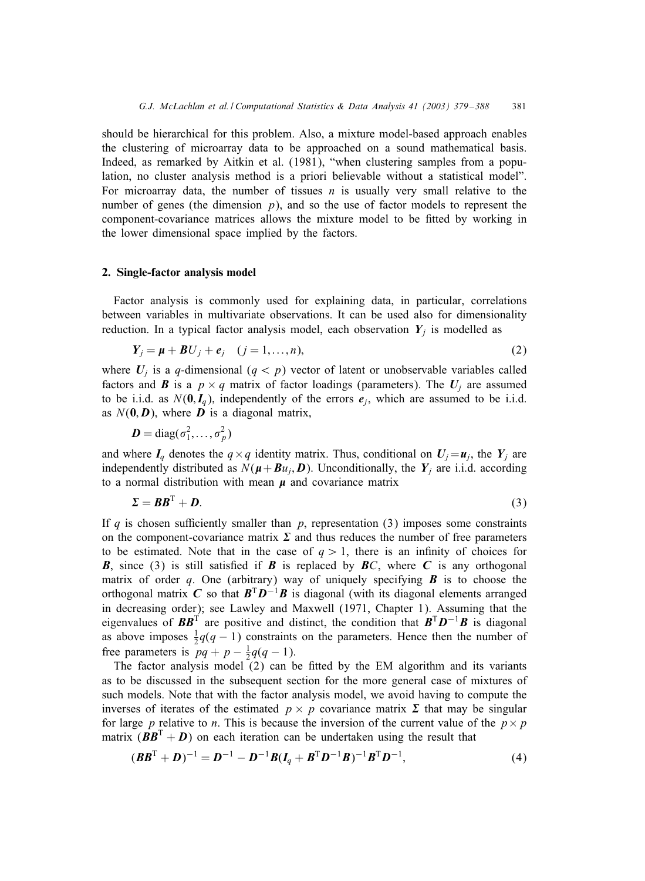should be hierarchical for this problem. Also, a mixture model-based approach enables the clustering of microarray data to be approached on a sound mathematical basis. Indeed, as remarked by Aitkin et al. (1981), "when clustering samples from a population, no cluster analysis method is a priori believable without a statistical model". For microarray data, the number of tissues  $n$  is usually very small relative to the number of genes (the dimension  $p$ ), and so the use of factor models to represent the component-covariance matrices allows the mixture model to be 5tted by working in the lower dimensional space implied by the factors.

#### 2. Single-factor analysis model

Factor analysis is commonly used for explaining data, in particular, correlations between variables in multivariate observations. It can be used also for dimensionality reduction. In a typical factor analysis model, each observation  $Y_i$  is modelled as

$$
Y_j = \mu + BU_j + e_j \quad (j = 1, \dots, n),
$$
\n<sup>(2)</sup>

where  $U_j$  is a q-dimensional  $(q < p)$  vector of latent or unobservable variables called factors and *B* is a  $p \times q$  matrix of factor loadings (parameters). The  $U_i$  are assumed to be i.i.d. as  $N(\mathbf{0}, \mathbf{I}_q)$ , independently of the errors  $e_i$ , which are assumed to be i.i.d. as  $N(0, D)$ , where *D* is a diagonal matrix,

$$
\boldsymbol{D} = \text{diag}(\sigma_1^2,\ldots,\sigma_p^2)
$$

and where  $I_q$  denotes the  $q \times q$  identity matrix. Thus, conditional on  $U_j = u_j$ , the  $Y_j$  are independently distributed as  $N(\mu + Bu_j, D)$ . Unconditionally, the  $Y_j$  are i.i.d. according to a normal distribution with mean  $\mu$  and covariance matrix

$$
\Sigma = BB^{\mathrm{T}} + D. \tag{3}
$$

If q is chosen sufficiently smaller than  $p$ , representation (3) imposes some constraints on the component-covariance matrix  $\Sigma$  and thus reduces the number of free parameters to be estimated. Note that in the case of  $q > 1$ , there is an infinity of choices for **B**, since (3) is still satisfied if **B** is replaced by **B**C, where **C** is any orthogonal matrix of order q. One (arbitrary) way of uniquely specifying  $\bf{B}$  is to choose the orthogonal matrix *C* so that  $B^T D^{-1}B$  is diagonal (with its diagonal elements arranged in decreasing order); see Lawley and Maxwell (1971, Chapter 1). Assuming that the eigenvalues of  $BB^T$  are positive and distinct, the condition that  $B^T D^{-1}B$  is diagonal as above imposes  $\frac{1}{2}q(q-1)$  constraints on the parameters. Hence then the number of free parameters is  $pq + p - \frac{1}{2}q(q - 1)$ .

The factor analysis model  $(2)$  can be fitted by the EM algorithm and its variants as to be discussed in the subsequent section for the more general case of mixtures of such models. Note that with the factor analysis model, we avoid having to compute the inverses of iterates of the estimated  $p \times p$  covariance matrix  $\Sigma$  that may be singular for large p relative to n. This is because the inversion of the current value of the  $p \times p$ matrix  $(BB^T + D)$  on each iteration can be undertaken using the result that

$$
(\boldsymbol{B}\boldsymbol{B}^{T} + \boldsymbol{D})^{-1} = \boldsymbol{D}^{-1} - \boldsymbol{D}^{-1}\boldsymbol{B}(\boldsymbol{I}_{q} + \boldsymbol{B}^{T}\boldsymbol{D}^{-1}\boldsymbol{B})^{-1}\boldsymbol{B}^{T}\boldsymbol{D}^{-1},
$$
\n(4)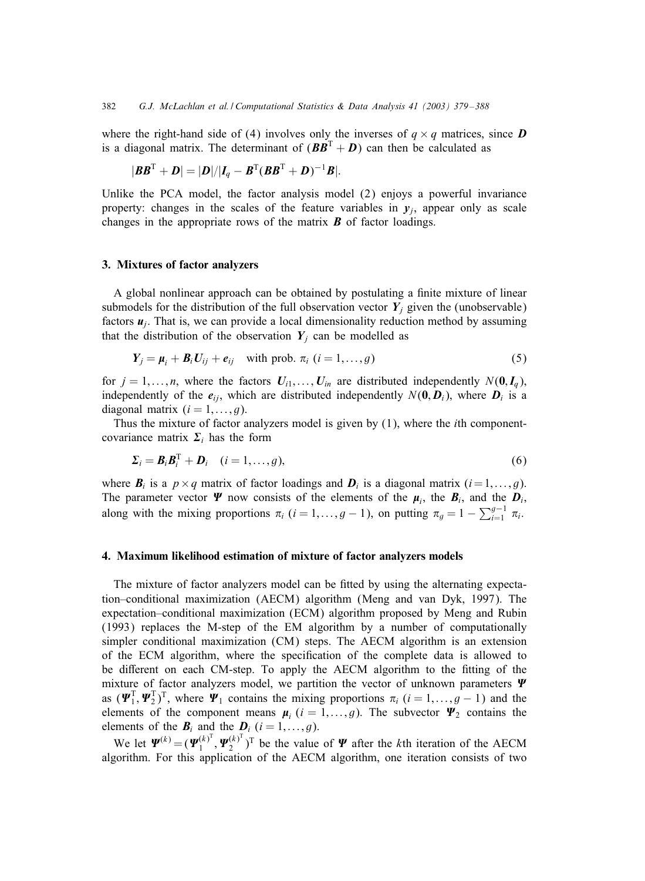where the right-hand side of (4) involves only the inverses of  $q \times q$  matrices, since **D** is a diagonal matrix. The determinant of  $(B\overline{B}^T + D)$  can then be calculated as

$$
|\boldsymbol{B}\boldsymbol{B}^{\mathrm{T}}+\boldsymbol{D}|=|\boldsymbol{D}|/|\boldsymbol{I}_q-\boldsymbol{B}^{\mathrm{T}}(\boldsymbol{B}\boldsymbol{B}^{\mathrm{T}}+\boldsymbol{D})^{-1}\boldsymbol{B}|.
$$

Unlike the PCA model, the factor analysis model (2) enjoys a powerful invariance property: changes in the scales of the feature variables in  $y_i$ , appear only as scale changes in the appropriate rows of the matrix *B* of factor loadings.

#### 3. Mixtures of factor analyzers

A global nonlinear approach can be obtained by postulating a finite mixture of linear submodels for the distribution of the full observation vector  $Y_j$  given the (unobservable) factors  $\mathbf{u}_i$ . That is, we can provide a local dimensionality reduction method by assuming that the distribution of the observation  $Y_j$  can be modelled as

$$
Y_j = \mu_i + B_i U_{ij} + e_{ij} \quad \text{with prob. } \pi_i \ (i = 1, \dots, g)
$$
 (5)

for  $j = 1,...,n$ , where the factors  $U_{i1},..., U_{in}$  are distributed independently  $N(\mathbf{0}, \mathbf{I}_q)$ , independently of the  $e_{ij}$ , which are distributed independently  $N(\mathbf{0}, \mathbf{D}_i)$ , where  $\mathbf{D}_i$  is a diagonal matrix  $(i = 1, \ldots, g)$ .

Thus the mixture of factor analyzers model is given by (1), where the ith componentcovariance matrix  $\Sigma_i$  has the form

$$
\Sigma_i = \boldsymbol{B}_i \boldsymbol{B}_i^{\mathrm{T}} + \boldsymbol{D}_i \quad (i = 1, \dots, g), \tag{6}
$$

where  $B_i$  is a  $p \times q$  matrix of factor loadings and  $D_i$  is a diagonal matrix  $(i=1,\ldots,g)$ . The parameter vector  $\Psi$  now consists of the elements of the  $\mu_i$ , the  $B_i$ , and the  $D_i$ , along with the mixing proportions  $\pi_i$  (i = 1, ..., g – 1), on putting  $\pi_g = 1 - \sum_{i=1}^{g-1} \pi_i$ .

## 4. Maximum likelihood estimation of mixture of factor analyzers models

The mixture of factor analyzers model can be fitted by using the alternating expectation–conditional maximization (AECM) algorithm (Meng and van Dyk, 1997). The expectation–conditional maximization (ECM) algorithm proposed by Meng and Rubin (1993) replaces the M-step of the EM algorithm by a number of computationally simpler conditional maximization (CM) steps. The AECM algorithm is an extension of the ECM algorithm, where the speci5cation of the complete data is allowed to be different on each CM-step. To apply the AECM algorithm to the fitting of the mixture of factor analyzers model, we partition the vector of unknown parameters  $\Psi$ as  $(\Psi_1^T, \Psi_2^T)^T$ , where  $\Psi_1$  contains the mixing proportions  $\pi_i$   $(i = 1, ..., g - 1)$  and the elements of the component means  $\mu_i$  (i = 1,...,g). The subvector  $\Psi_2$  contains the elements of the  $B_i$  and the  $D_i$  ( $i = 1, \ldots, g$ ).

We let  $\Psi^{(k)} = (\Psi_1^{(k)^T}, \Psi_2^{(k)^T})^T$  be the value of  $\Psi$  after the kth iteration of the AECM algorithm. For this application of the AECM algorithm, one iteration consists of two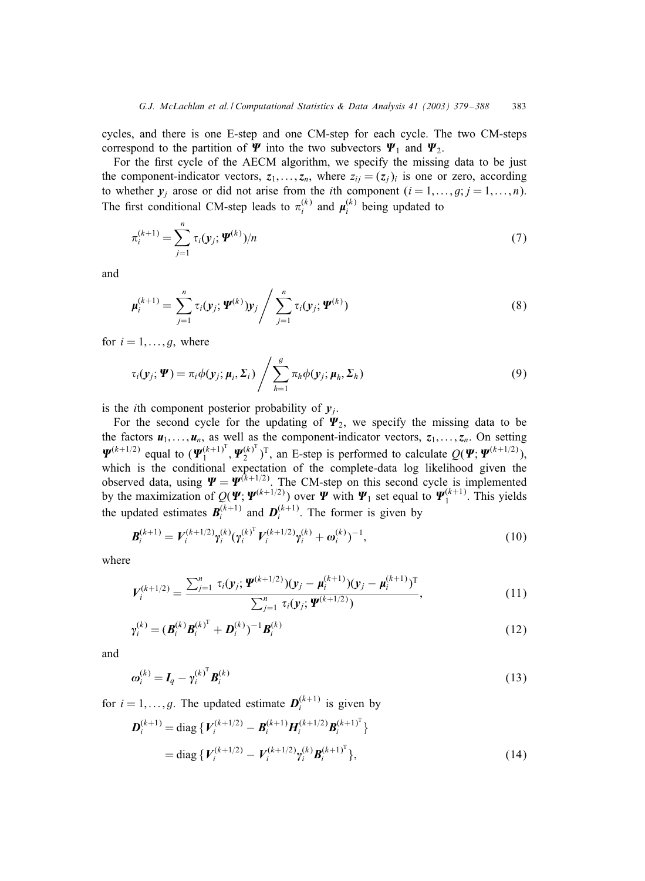cycles, and there is one E-step and one CM-step for each cycle. The two CM-steps correspond to the partition of  $\Psi$  into the two subvectors  $\Psi_1$  and  $\Psi_2$ .

For the first cycle of the AECM algorithm, we specify the missing data to be just the component-indicator vectors,  $z_1, \ldots, z_n$ , where  $z_{ij} = (z_j)_i$  is one or zero, according to whether  $y_i$  arose or did not arise from the *i*th component  $(i = 1, \ldots, g; j = 1, \ldots, n)$ . The first conditional CM-step leads to  $\pi_i^{(k)}$  and  $\mu_i^{(k)}$  being updated to

$$
\pi_i^{(k+1)} = \sum_{j=1}^n \tau_i(\mathbf{y}_j; \mathbf{\Psi}^{(k)})/n
$$
\n(7)

and

$$
\mu_i^{(k+1)} = \sum_{j=1}^n \tau_i(\mathbf{y}_j; \boldsymbol{\Psi}^{(k)}) \mathbf{y}_j / \sum_{j=1}^n \tau_i(\mathbf{y}_j; \boldsymbol{\Psi}^{(k)})
$$
(8)

for  $i = 1, \ldots, g$ , where

$$
\tau_i(\mathbf{y}_j; \boldsymbol{\varPsi}) = \pi_i \phi(\mathbf{y}_j; \boldsymbol{\mu}_i, \boldsymbol{\Sigma}_i) / \sum_{h=1}^g \pi_h \phi(\mathbf{y}_j; \boldsymbol{\mu}_h, \boldsymbol{\Sigma}_h)
$$
\n(9)

is the *i*th component posterior probability of  $y_i$ .

For the second cycle for the updating of  $\Psi_2$ , we specify the missing data to be the factors  $u_1, \ldots, u_n$ , as well as the component-indicator vectors,  $z_1, \ldots, z_n$ . On setting  $\Psi^{(k+1/2)}$  equal to  $(\Psi_1^{(k+1)^T}, \Psi_2^{(k)^T})^T$ , an E-step is performed to calculate  $Q(\Psi; \Psi^{(k+1/2)})$ , which is the conditional expectation of the complete-data log likelihood given the observed data, using  $\Psi = \Psi^{(k+1/2)}$ . The CM-step on this second cycle is implemented by the maximization of  $Q(\Psi; \Psi^{(k+1/2)})$  over  $\Psi$  with  $\Psi_1$  set equal to  $\Psi_1^{(k+1)}$ . This yields the updated estimates  $B_i^{(k+1)}$  and  $D_i^{(k+1)}$ . The former is given by

$$
\boldsymbol{B}_{i}^{(k+1)} = V_{i}^{(k+1/2)} \gamma_{i}^{(k)} (\gamma_{i}^{(k)^{\mathrm{T}}} V_{i}^{(k+1/2)} \gamma_{i}^{(k)} + \omega_{i}^{(k)})^{-1}, \qquad (10)
$$

where

$$
V_i^{(k+1/2)} = \frac{\sum_{j=1}^n \tau_i(y_j; \boldsymbol{\Psi}^{(k+1/2)})(y_j - \boldsymbol{\mu}_i^{(k+1)})(y_j - \boldsymbol{\mu}_i^{(k+1)})^T}{\sum_{j=1}^n \tau_i(y_j; \boldsymbol{\Psi}^{(k+1/2)})},
$$
(11)

$$
\gamma_i^{(k)} = (\boldsymbol{B}_i^{(k)} \boldsymbol{B}_i^{(k)}^{\mathrm{T}} + \boldsymbol{D}_i^{(k)})^{-1} \boldsymbol{B}_i^{(k)}
$$
(12)

and

$$
\boldsymbol{\omega}_i^{(k)} = \boldsymbol{I}_q - \boldsymbol{\gamma}_i^{(k)^{\mathrm{T}}} \boldsymbol{B}_i^{(k)}
$$
(13)

for  $i = 1, ..., g$ . The updated estimate  $D_i^{(k+1)}$  is given by

$$
\mathbf{D}_{i}^{(k+1)} = \text{diag}\,\{V_{i}^{(k+1/2)} - \mathbf{B}_{i}^{(k+1)}\mathbf{H}_{i}^{(k+1/2)}\mathbf{B}_{i}^{(k+1)^{T}}\}
$$
\n
$$
= \text{diag}\,\{V_{i}^{(k+1/2)} - V_{i}^{(k+1/2)}\gamma_{i}^{(k)}\mathbf{B}_{i}^{(k+1)^{T}}\},\tag{14}
$$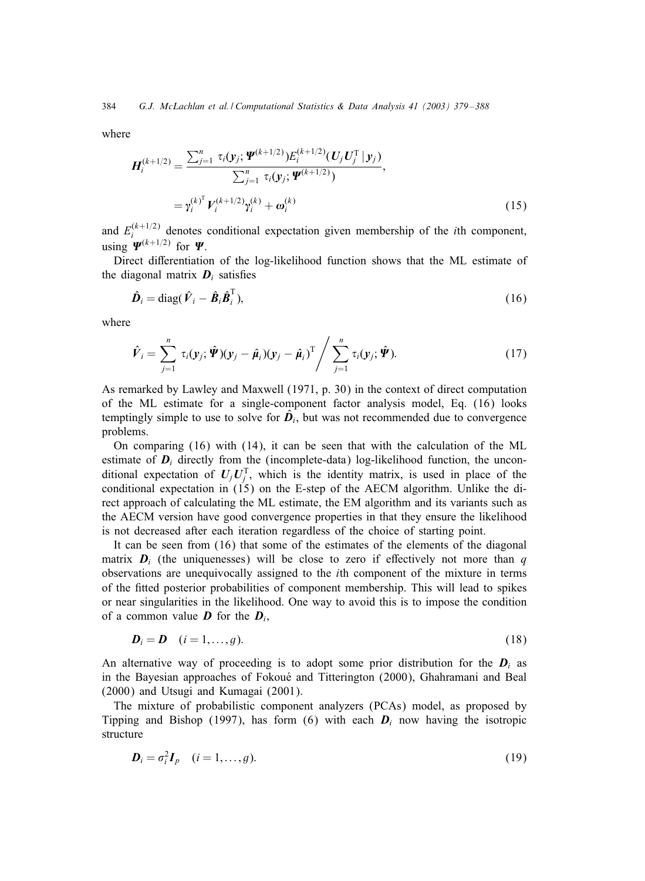where

$$
H_i^{(k+1/2)} = \frac{\sum_{j=1}^n \tau_i(\mathbf{y}_j; \boldsymbol{\Psi}^{(k+1/2)}) E_i^{(k+1/2)}(\boldsymbol{U}_j \boldsymbol{U}_j^{\mathrm{T}} | \mathbf{y}_j)}{\sum_{j=1}^n \tau_i(\mathbf{y}_j; \boldsymbol{\Psi}^{(k+1/2)})},
$$
  
=  $\gamma_i^{(k)^{\mathrm{T}}} V_i^{(k+1/2)} \gamma_i^{(k)} + \boldsymbol{\omega}_i^{(k)}$  (15)

and  $E_i^{(k+1/2)}$  denotes conditional expectation given membership of the *i*th component, using  $\Psi^{(k+1/2)}$  for  $\Psi$ .

Direct differentiation of the log-likelihood function shows that the ML estimate of the diagonal matrix  $D_i$  satisfies

$$
\hat{\boldsymbol{D}}_i = \text{diag}(\hat{\boldsymbol{V}}_i - \hat{\boldsymbol{B}}_i \hat{\boldsymbol{B}}_i^{\mathrm{T}}),\tag{16}
$$

where

$$
\hat{\boldsymbol{V}}_i = \sum_{j=1}^n \tau_i(\mathbf{y}_j; \hat{\boldsymbol{\varPsi}})(\mathbf{y}_j - \hat{\boldsymbol{\mu}}_i)(\mathbf{y}_j - \hat{\boldsymbol{\mu}}_i)^T / \sum_{j=1}^n \tau_i(\mathbf{y}_j; \hat{\boldsymbol{\varPsi}}).
$$
\n(17)

As remarked by Lawley and Maxwell (1971, p. 30) in the context of direct computation of the ML estimate for a single-component factor analysis model, Eq. (16) looks temptingly simple to use to solve for  $\ddot{D}_i$ , but was not recommended due to convergence problems.

On comparing (16) with (14), it can be seen that with the calculation of the ML estimate of  $D_i$  directly from the (incomplete-data) log-likelihood function, the unconditional expectation of  $U_j U_j^T$ , which is the identity matrix, is used in place of the conditional expectation in  $(15)$  on the E-step of the AECM algorithm. Unlike the direct approach of calculating the ML estimate, the EM algorithm and its variants such as the AECM version have good convergence properties in that they ensure the likelihood is not decreased after each iteration regardless of the choice of starting point.

It can be seen from (16) that some of the estimates of the elements of the diagonal matrix  $D_i$  (the uniquenesses) will be close to zero if effectively not more than q observations are unequivocally assigned to the ith component of the mixture in terms of the 5tted posterior probabilities of component membership. This will lead to spikes or near singularities in the likelihood. One way to avoid this is to impose the condition of a common value  $\boldsymbol{D}$  for the  $\boldsymbol{D}_i$ ,

$$
\boldsymbol{D}_i = \boldsymbol{D} \quad (i = 1, \dots, g). \tag{18}
$$

An alternative way of proceeding is to adopt some prior distribution for the  $D_i$  as in the Bayesian approaches of Fokoué and Titterington (2000), Ghahramani and Beal (2000) and Utsugi and Kumagai (2001).

The mixture of probabilistic component analyzers (PCAs) model, as proposed by Tipping and Bishop (1997), has form (6) with each  $D_i$  now having the isotropic structure

$$
\boldsymbol{D}_i = \sigma_i^2 \boldsymbol{I}_p \quad (i = 1, \dots, g). \tag{19}
$$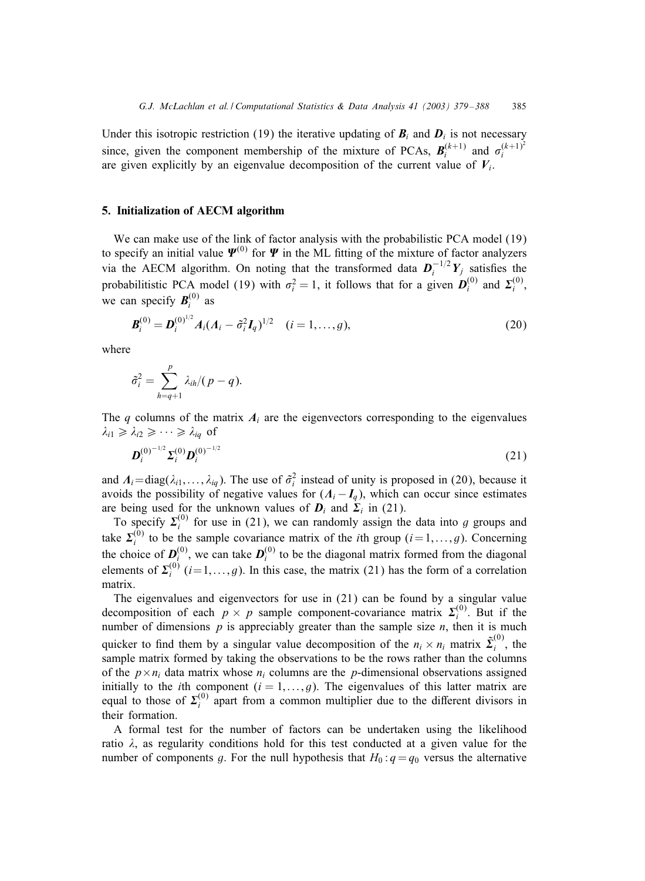Under this isotropic restriction (19) the iterative updating of  $B_i$  and  $D_i$  is not necessary since, given the component membership of the mixture of PCAs,  $B_i^{(k+1)}$  and  $\sigma_i^{(k+1)^2}$ are given explicitly by an eigenvalue decomposition of the current value of  $V_i$ .

### 5. Initialization of AECM algorithm

We can make use of the link of factor analysis with the probabilistic PCA model (19) to specify an initial value  $\Psi^{(0)}$  for  $\Psi$  in the ML fitting of the mixture of factor analyzers via the AECM algorithm. On noting that the transformed data  $D_i^{-1/2}Y_j$  satisfies the probabilitistic PCA model (19) with  $\sigma_i^2 = 1$ , it follows that for a given  $D_i^{(0)}$  and  $\Sigma_i^{(0)}$ , we can specify  $B_i^{(0)}$  as

$$
\boldsymbol{B}_{i}^{(0)} = \boldsymbol{D}_{i}^{(0)^{1/2}} A_{i} (A_{i} - \tilde{\sigma}_{i}^{2} I_{q})^{1/2} \quad (i = 1, ..., g),
$$
\n(20)

where

$$
\tilde{\sigma}_i^2 = \sum_{h=q+1}^p \lambda_{ih} / (p-q).
$$

The q columns of the matrix  $A_i$  are the eigenvectors corresponding to the eigenvalues  $\lambda_{i1} \geq \lambda_{i2} \geq \cdots \geq \lambda_{iq}$  of

$$
\boldsymbol{D}_i^{(0)^{-1/2}} \boldsymbol{\Sigma}_i^{(0)} \boldsymbol{D}_i^{(0)^{-1/2}} \tag{21}
$$

and  $A_i = diag(\lambda_{i1},..., \lambda_{iq})$ . The use of  $\hat{\sigma}_i^2$  instead of unity is proposed in (20), because it avoids the possibility of negative values for  $(A_i - I_q)$ , which can occur since estimates are being used for the unknown values of  $D_i$  and  $\Sigma_i$  in (21).

To specify  $\Sigma_i^{(0)}$  for use in (21), we can randomly assign the data into g groups and take  $\Sigma_i^{(0)}$  to be the sample covariance matrix of the *i*th group  $(i=1,\ldots,g)$ . Concerning the choice of  $D_i^{(0)}$ , we can take  $D_i^{(0)}$  to be the diagonal matrix formed from the diagonal elements of  $\Sigma_i^{(0)}$   $(i=1,\ldots,g)$ . In this case, the matrix (21) has the form of a correlation matrix.

The eigenvalues and eigenvectors for use in (21) can be found by a singular value decomposition of each  $p \times p$  sample component-covariance matrix  $\Sigma_i^{(0)}$ . But if the number of dimensions  $p$  is appreciably greater than the sample size  $n$ , then it is much quicker to find them by a singular value decomposition of the  $n_i \times n_i$  matrix  $\tilde{\Sigma}_i^{(0)}$ , the sample matrix formed by taking the observations to be the rows rather than the columns of the  $p \times n_i$  data matrix whose  $n_i$  columns are the p-dimensional observations assigned initially to the *i*th component  $(i = 1, \ldots, g)$ . The eigenvalues of this latter matrix are equal to those of  $\Sigma_i^{(0)}$  apart from a common multiplier due to the different divisors in their formation.

A formal test for the number of factors can be undertaken using the likelihood ratio  $\lambda$ , as regularity conditions hold for this test conducted at a given value for the number of components g. For the null hypothesis that  $H_0: q = q_0$  versus the alternative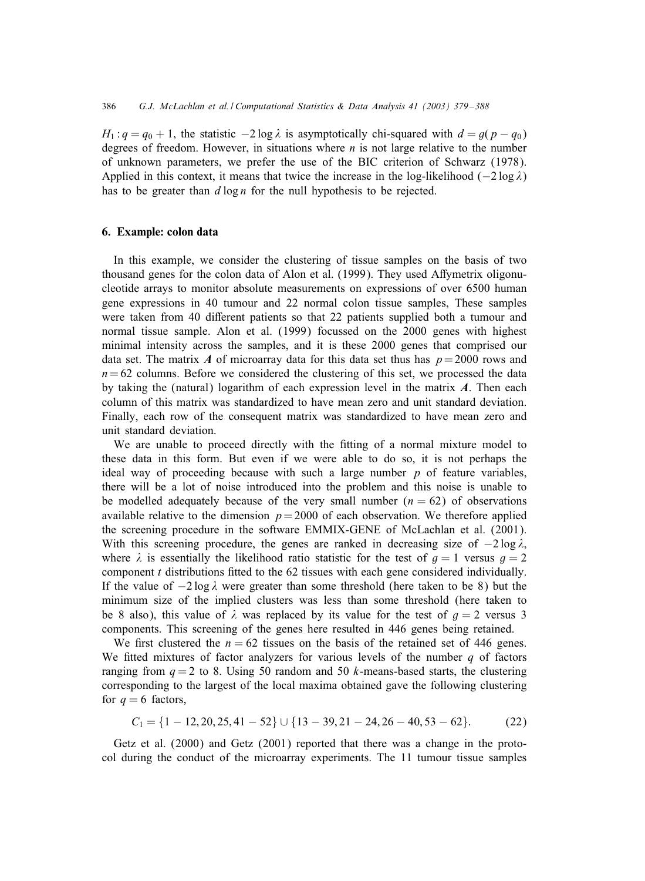$H_1: q = q_0 + 1$ , the statistic  $-2 \log \lambda$  is asymptotically chi-squared with  $d = q(p - q_0)$ degrees of freedom. However, in situations where  $n$  is not large relative to the number of unknown parameters, we prefer the use of the BIC criterion of Schwarz (1978). Applied in this context, it means that twice the increase in the log-likelihood ( $-2 \log \lambda$ ) has to be greater than  $d \log n$  for the null hypothesis to be rejected.

## 6. Example: colon data

In this example, we consider the clustering of tissue samples on the basis of two thousand genes for the colon data of Alon et al. (1999). They used Affymetrix oligonucleotide arrays to monitor absolute measurements on expressions of over 6500 human gene expressions in 40 tumour and 22 normal colon tissue samples, These samples were taken from 40 different patients so that 22 patients supplied both a tumour and normal tissue sample. Alon et al. (1999) focussed on the 2000 genes with highest minimal intensity across the samples, and it is these 2000 genes that comprised our data set. The matrix *A* of microarray data for this data set thus has  $p = 2000$  rows and  $n= 62$  columns. Before we considered the clustering of this set, we processed the data by taking the (natural) logarithm of each expression level in the matrix *A*. Then each column of this matrix was standardized to have mean zero and unit standard deviation. Finally, each row of the consequent matrix was standardized to have mean zero and unit standard deviation.

We are unable to proceed directly with the fitting of a normal mixture model to these data in this form. But even if we were able to do so, it is not perhaps the ideal way of proceeding because with such a large number  $p$  of feature variables, there will be a lot of noise introduced into the problem and this noise is unable to be modelled adequately because of the very small number  $(n = 62)$  of observations available relative to the dimension  $p = 2000$  of each observation. We therefore applied the screening procedure in the software EMMIX-GENE of McLachlan et al. (2001). With this screening procedure, the genes are ranked in decreasing size of  $-2 \log \lambda$ , where  $\lambda$  is essentially the likelihood ratio statistic for the test of  $q = 1$  versus  $q = 2$ component  $t$  distributions fitted to the 62 tissues with each gene considered individually. If the value of  $-2 \log \lambda$  were greater than some threshold (here taken to be 8) but the minimum size of the implied clusters was less than some threshold (here taken to be 8 also), this value of  $\lambda$  was replaced by its value for the test of  $g = 2$  versus 3 components. This screening of the genes here resulted in 446 genes being retained.

We first clustered the  $n = 62$  tissues on the basis of the retained set of 446 genes. We fitted mixtures of factor analyzers for various levels of the number  $q$  of factors ranging from  $q = 2$  to 8. Using 50 random and 50 k-means-based starts, the clustering corresponding to the largest of the local maxima obtained gave the following clustering for  $q = 6$  factors,

$$
C_1 = \{1 - 12, 20, 25, 41 - 52\} \cup \{13 - 39, 21 - 24, 26 - 40, 53 - 62\}.
$$
 (22)

Getz et al. (2000) and Getz (2001) reported that there was a change in the protocol during the conduct of the microarray experiments. The 11 tumour tissue samples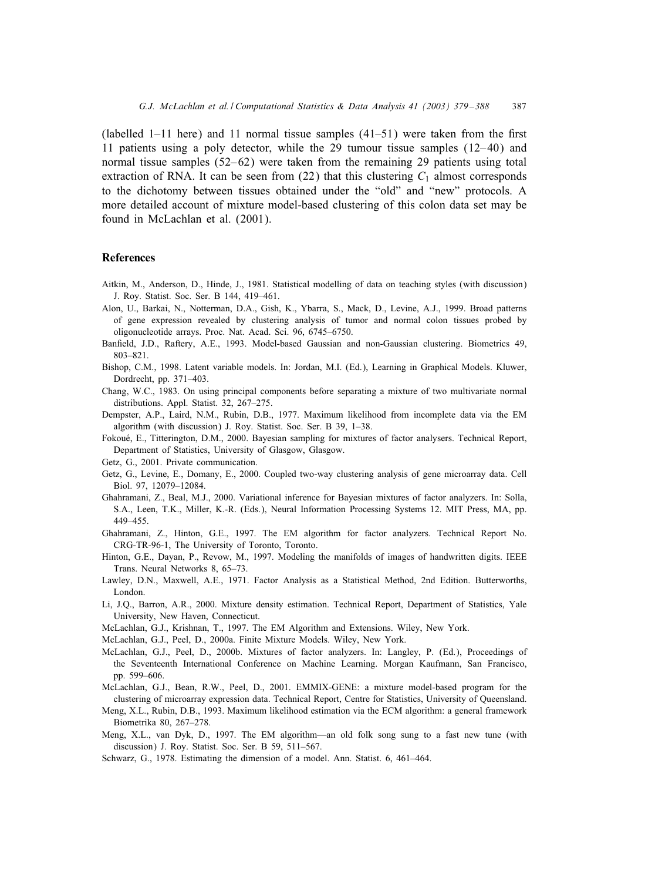(labelled 1–11 here) and 11 normal tissue samples  $(41–51)$  were taken from the first 11 patients using a poly detector, while the 29 tumour tissue samples  $(12-40)$  and normal tissue samples  $(52-62)$  were taken from the remaining 29 patients using total extraction of RNA. It can be seen from (22) that this clustering  $C_1$  almost corresponds to the dichotomy between tissues obtained under the "old" and "new" protocols. A more detailed account of mixture model-based clustering of this colon data set may be found in McLachlan et al. (2001).

#### References

- Aitkin, M., Anderson, D., Hinde, J., 1981. Statistical modelling of data on teaching styles (with discussion) J. Roy. Statist. Soc. Ser. B 144, 419–461.
- Alon, U., Barkai, N., Notterman, D.A., Gish, K., Ybarra, S., Mack, D., Levine, A.J., 1999. Broad patterns of gene expression revealed by clustering analysis of tumor and normal colon tissues probed by oligonucleotide arrays. Proc. Nat. Acad. Sci. 96, 6745–6750.
- Ban5eld, J.D., Raftery, A.E., 1993. Model-based Gaussian and non-Gaussian clustering. Biometrics 49, 803–821.
- Bishop, C.M., 1998. Latent variable models. In: Jordan, M.I. (Ed.), Learning in Graphical Models. Kluwer, Dordrecht, pp. 371–403.
- Chang, W.C., 1983. On using principal components before separating a mixture of two multivariate normal distributions. Appl. Statist. 32, 267–275.
- Dempster, A.P., Laird, N.M., Rubin, D.B., 1977. Maximum likelihood from incomplete data via the EM algorithm (with discussion) J. Roy. Statist. Soc. Ser. B 39, 1–38.
- Fokoué, E., Titterington, D.M., 2000. Bayesian sampling for mixtures of factor analysers. Technical Report, Department of Statistics, University of Glasgow, Glasgow.
- Getz, G., 2001. Private communication.
- Getz, G., Levine, E., Domany, E., 2000. Coupled two-way clustering analysis of gene microarray data. Cell Biol. 97, 12079–12084.
- Ghahramani, Z., Beal, M.J., 2000. Variational inference for Bayesian mixtures of factor analyzers. In: Solla, S.A., Leen, T.K., Miller, K.-R. (Eds.), Neural Information Processing Systems 12. MIT Press, MA, pp. 449–455.
- Ghahramani, Z., Hinton, G.E., 1997. The EM algorithm for factor analyzers. Technical Report No. CRG-TR-96-1, The University of Toronto, Toronto.
- Hinton, G.E., Dayan, P., Revow, M., 1997. Modeling the manifolds of images of handwritten digits. IEEE Trans. Neural Networks 8, 65–73.
- Lawley, D.N., Maxwell, A.E., 1971. Factor Analysis as a Statistical Method, 2nd Edition. Butterworths, London.
- Li, J.Q., Barron, A.R., 2000. Mixture density estimation. Technical Report, Department of Statistics, Yale University, New Haven, Connecticut.
- McLachlan, G.J., Krishnan, T., 1997. The EM Algorithm and Extensions. Wiley, New York.
- McLachlan, G.J., Peel, D., 2000a. Finite Mixture Models. Wiley, New York.
- McLachlan, G.J., Peel, D., 2000b. Mixtures of factor analyzers. In: Langley, P. (Ed.), Proceedings of the Seventeenth International Conference on Machine Learning. Morgan Kaufmann, San Francisco, pp. 599–606.
- McLachlan, G.J., Bean, R.W., Peel, D., 2001. EMMIX-GENE: a mixture model-based program for the clustering of microarray expression data. Technical Report, Centre for Statistics, University of Queensland.
- Meng, X.L., Rubin, D.B., 1993. Maximum likelihood estimation via the ECM algorithm: a general framework Biometrika 80, 267–278.
- Meng, X.L., van Dyk, D., 1997. The EM algorithm—an old folk song sung to a fast new tune (with discussion) J. Roy. Statist. Soc. Ser. B 59, 511–567.
- Schwarz, G., 1978. Estimating the dimension of a model. Ann. Statist. 6, 461–464.